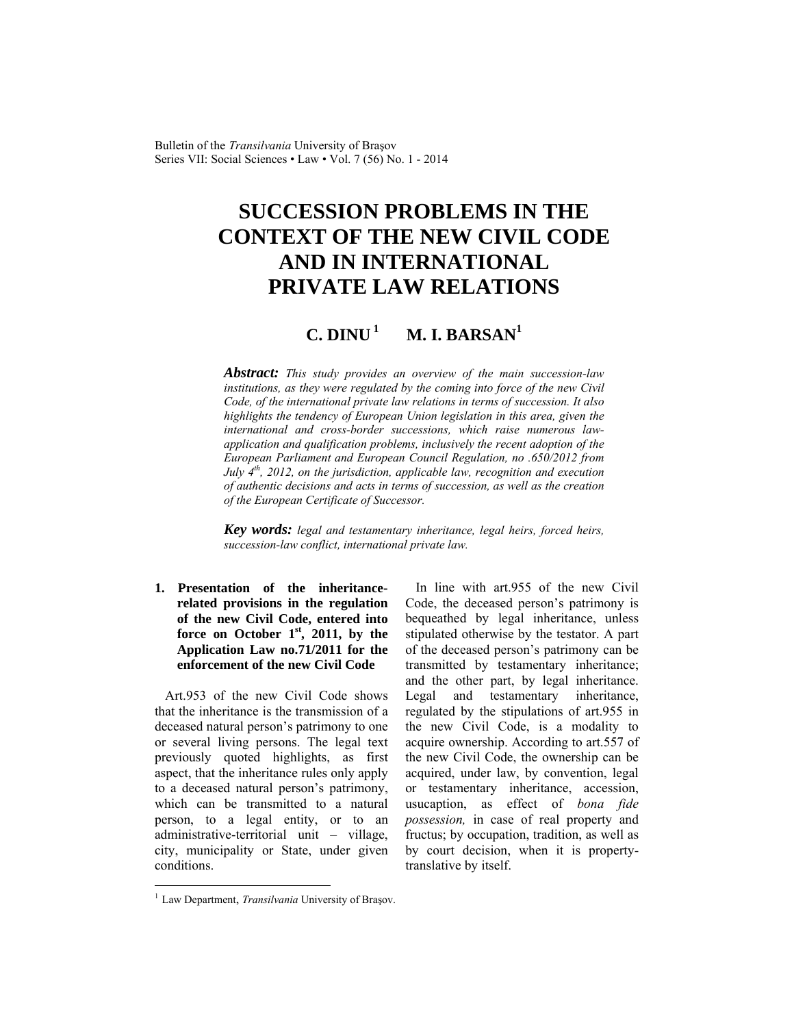Bulletin of the *Transilvania* University of Braşov Series VII: Social Sciences • Law • Vol. 7 (56) No. 1 - 2014

# **SUCCESSION PROBLEMS IN THE CONTEXT OF THE NEW CIVIL CODE AND IN INTERNATIONAL PRIVATE LAW RELATIONS**

# $C.$   $DINU<sup>1</sup>$  **M. I. BARSAN<sup>1</sup>**

*Abstract: This study provides an overview of the main succession-law institutions, as they were regulated by the coming into force of the new Civil Code, of the international private law relations in terms of succession. It also highlights the tendency of European Union legislation in this area, given the international and cross-border successions, which raise numerous lawapplication and qualification problems, inclusively the recent adoption of the European Parliament and European Council Regulation, no .650/2012 from July 4th, 2012, on the jurisdiction, applicable law, recognition and execution of authentic decisions and acts in terms of succession, as well as the creation of the European Certificate of Successor.*

*Key words: legal and testamentary inheritance, legal heirs, forced heirs, succession-law conflict, international private law.*

**1. Presentation of the inheritancerelated provisions in the regulation of the new Civil Code, entered into force on October 1st, 2011, by the Application Law no.71/2011 for the enforcement of the new Civil Code** 

Art.953 of the new Civil Code shows that the inheritance is the transmission of a deceased natural person's patrimony to one or several living persons. The legal text previously quoted highlights, as first aspect, that the inheritance rules only apply to a deceased natural person's patrimony, which can be transmitted to a natural person, to a legal entity, or to an administrative-territorial unit – village, city, municipality or State, under given conditions.

In line with art.955 of the new Civil Code, the deceased person's patrimony is bequeathed by legal inheritance, unless stipulated otherwise by the testator. A part of the deceased person's patrimony can be transmitted by testamentary inheritance; and the other part, by legal inheritance. Legal and testamentary inheritance, regulated by the stipulations of art.955 in the new Civil Code, is a modality to acquire ownership. According to art.557 of the new Civil Code, the ownership can be acquired, under law, by convention, legal or testamentary inheritance, accession, usucaption, as effect of *bona fide possession,* in case of real property and fructus; by occupation, tradition, as well as by court decision, when it is propertytranslative by itself.

l

<sup>&</sup>lt;sup>1</sup> Law Department, *Transilvania* University of Brașov.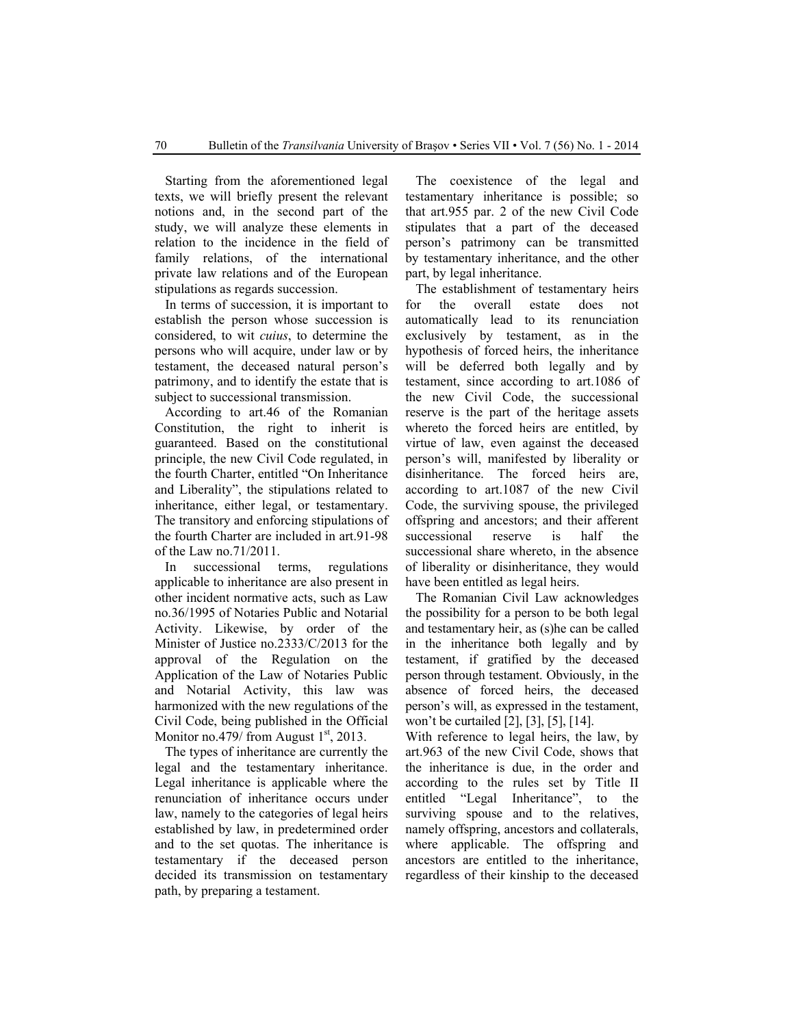Starting from the aforementioned legal texts, we will briefly present the relevant notions and, in the second part of the study, we will analyze these elements in relation to the incidence in the field of family relations, of the international private law relations and of the European stipulations as regards succession.

In terms of succession, it is important to establish the person whose succession is considered, to wit *cuius*, to determine the persons who will acquire, under law or by testament, the deceased natural person's patrimony, and to identify the estate that is subject to successional transmission.

According to art.46 of the Romanian Constitution, the right to inherit is guaranteed. Based on the constitutional principle, the new Civil Code regulated, in the fourth Charter, entitled "On Inheritance and Liberality", the stipulations related to inheritance, either legal, or testamentary. The transitory and enforcing stipulations of the fourth Charter are included in art.91-98 of the Law no.71/2011.

In successional terms, regulations applicable to inheritance are also present in other incident normative acts, such as Law no.36/1995 of Notaries Public and Notarial Activity. Likewise, by order of the Minister of Justice no.2333/C/2013 for the approval of the Regulation on the Application of the Law of Notaries Public and Notarial Activity, this law was harmonized with the new regulations of the Civil Code, being published in the Official Monitor no.479/ from August  $1<sup>st</sup>$ , 2013.

The types of inheritance are currently the legal and the testamentary inheritance. Legal inheritance is applicable where the renunciation of inheritance occurs under law, namely to the categories of legal heirs established by law, in predetermined order and to the set quotas. The inheritance is testamentary if the deceased person decided its transmission on testamentary path, by preparing a testament.

The coexistence of the legal and testamentary inheritance is possible; so that art.955 par. 2 of the new Civil Code stipulates that a part of the deceased person's patrimony can be transmitted by testamentary inheritance, and the other part, by legal inheritance.

The establishment of testamentary heirs for the overall estate does not automatically lead to its renunciation exclusively by testament, as in the hypothesis of forced heirs, the inheritance will be deferred both legally and by testament, since according to art.1086 of the new Civil Code, the successional reserve is the part of the heritage assets whereto the forced heirs are entitled, by virtue of law, even against the deceased person's will, manifested by liberality or disinheritance. The forced heirs are, according to art.1087 of the new Civil Code, the surviving spouse, the privileged offspring and ancestors; and their afferent successional reserve is half the successional share whereto, in the absence of liberality or disinheritance, they would have been entitled as legal heirs.

The Romanian Civil Law acknowledges the possibility for a person to be both legal and testamentary heir, as (s)he can be called in the inheritance both legally and by testament, if gratified by the deceased person through testament. Obviously, in the absence of forced heirs, the deceased person's will, as expressed in the testament, won't be curtailed [2], [3], [5], [14].

With reference to legal heirs, the law, by art.963 of the new Civil Code, shows that the inheritance is due, in the order and according to the rules set by Title II entitled "Legal Inheritance", to the surviving spouse and to the relatives, namely offspring, ancestors and collaterals, where applicable. The offspring and ancestors are entitled to the inheritance, regardless of their kinship to the deceased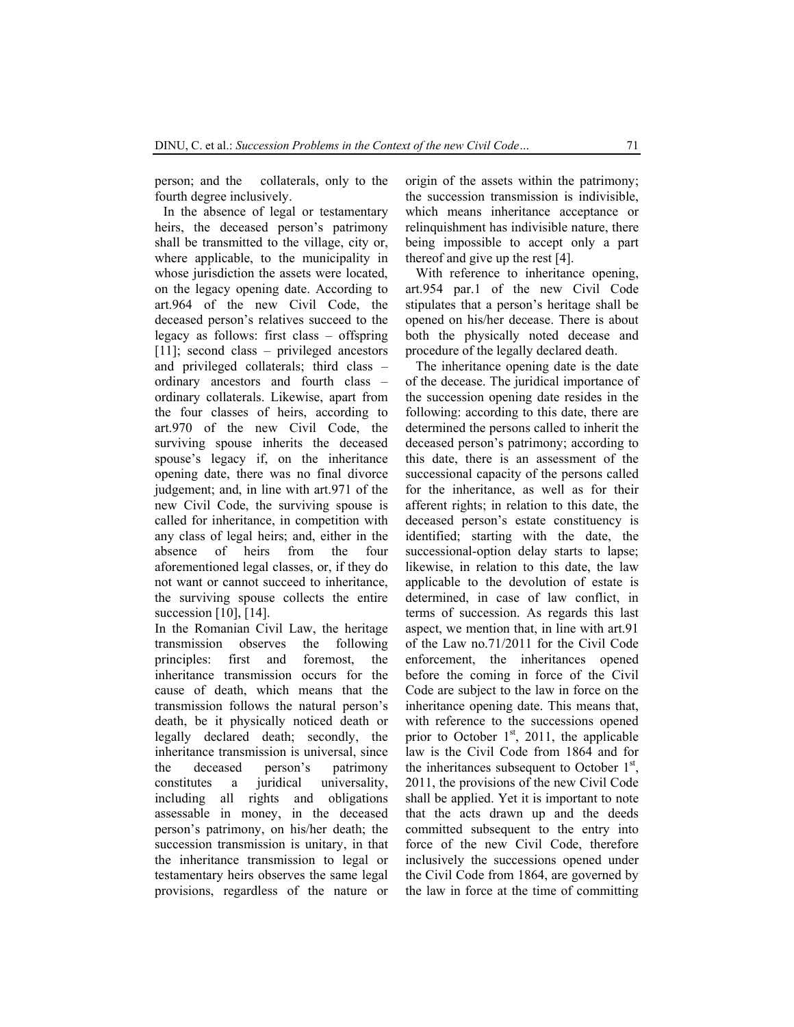person; and the collaterals, only to the fourth degree inclusively.

In the absence of legal or testamentary heirs, the deceased person's patrimony shall be transmitted to the village, city or, where applicable, to the municipality in whose jurisdiction the assets were located. on the legacy opening date. According to art.964 of the new Civil Code, the deceased person's relatives succeed to the legacy as follows: first class – offspring [11]; second class – privileged ancestors and privileged collaterals; third class – ordinary ancestors and fourth class – ordinary collaterals. Likewise, apart from the four classes of heirs, according to art.970 of the new Civil Code, the surviving spouse inherits the deceased spouse's legacy if, on the inheritance opening date, there was no final divorce judgement; and, in line with art.971 of the new Civil Code, the surviving spouse is called for inheritance, in competition with any class of legal heirs; and, either in the absence of heirs from the four aforementioned legal classes, or, if they do not want or cannot succeed to inheritance, the surviving spouse collects the entire succession [10], [14].

In the Romanian Civil Law, the heritage transmission observes the following principles: first and foremost, the inheritance transmission occurs for the cause of death, which means that the transmission follows the natural person's death, be it physically noticed death or legally declared death; secondly, the inheritance transmission is universal, since the deceased person's patrimony constitutes a juridical universality, including all rights and obligations assessable in money, in the deceased person's patrimony, on his/her death; the succession transmission is unitary, in that the inheritance transmission to legal or testamentary heirs observes the same legal provisions, regardless of the nature or origin of the assets within the patrimony; the succession transmission is indivisible, which means inheritance acceptance or relinquishment has indivisible nature, there being impossible to accept only a part thereof and give up the rest [4].

With reference to inheritance opening, art.954 par.1 of the new Civil Code stipulates that a person's heritage shall be opened on his/her decease. There is about both the physically noted decease and procedure of the legally declared death.

The inheritance opening date is the date of the decease. The juridical importance of the succession opening date resides in the following: according to this date, there are determined the persons called to inherit the deceased person's patrimony; according to this date, there is an assessment of the successional capacity of the persons called for the inheritance, as well as for their afferent rights; in relation to this date, the deceased person's estate constituency is identified; starting with the date, the successional-option delay starts to lapse; likewise, in relation to this date, the law applicable to the devolution of estate is determined, in case of law conflict, in terms of succession. As regards this last aspect, we mention that, in line with art.91 of the Law no.71/2011 for the Civil Code enforcement, the inheritances opened before the coming in force of the Civil Code are subject to the law in force on the inheritance opening date. This means that, with reference to the successions opened prior to October  $1<sup>st</sup>$ , 2011, the applicable law is the Civil Code from 1864 and for the inheritances subsequent to October  $1<sup>st</sup>$ , 2011, the provisions of the new Civil Code shall be applied. Yet it is important to note that the acts drawn up and the deeds committed subsequent to the entry into force of the new Civil Code, therefore inclusively the successions opened under the Civil Code from 1864, are governed by the law in force at the time of committing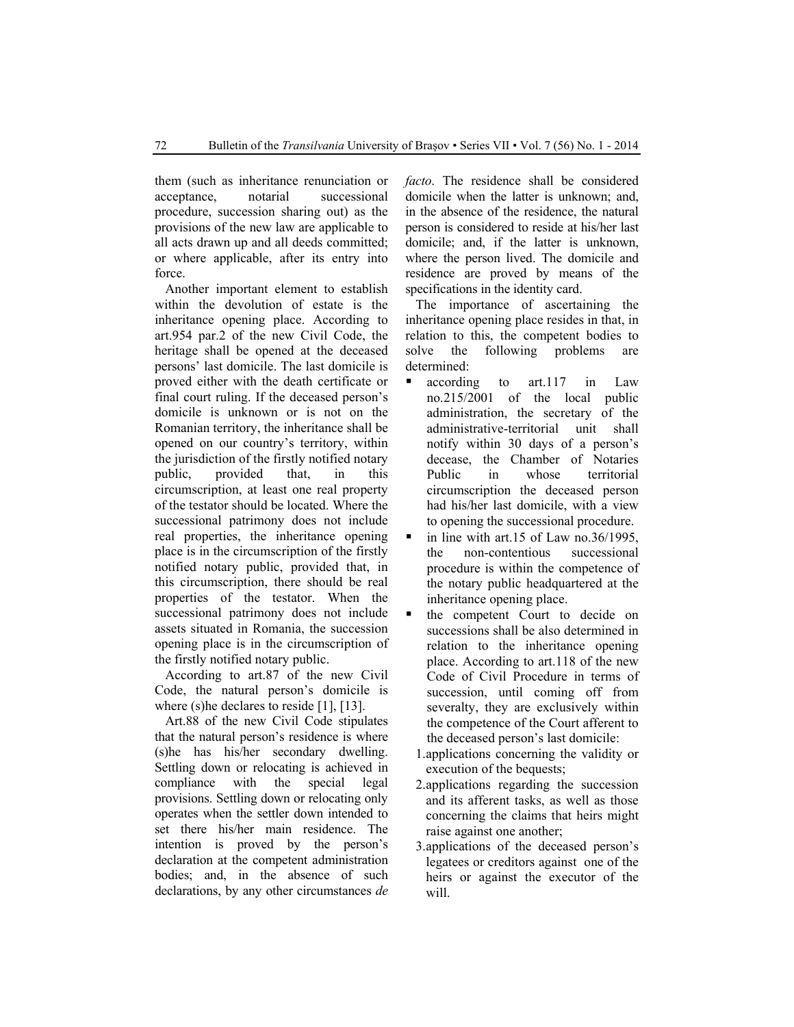them (such as inheritance renunciation or acceptance, notarial successional procedure, succession sharing out) as the provisions of the new law are applicable to all acts drawn up and all deeds committed; or where applicable, after its entry into force.

Another important element to establish within the devolution of estate is the inheritance opening place. According to art.954 par.2 of the new Civil Code, the heritage shall be opened at the deceased persons' last domicile. The last domicile is proved either with the death certificate or final court ruling. If the deceased person's domicile is unknown or is not on the Romanian territory, the inheritance shall be opened on our country's territory, within the jurisdiction of the firstly notified notary public, provided that, in this circumscription, at least one real property of the testator should be located. Where the successional patrimony does not include real properties, the inheritance opening place is in the circumscription of the firstly notified notary public, provided that, in this circumscription, there should be real properties of the testator. When the successional patrimony does not include assets situated in Romania, the succession opening place is in the circumscription of the firstly notified notary public.

According to art.87 of the new Civil Code, the natural person's domicile is where (s) he declares to reside [1], [13].

Art.88 of the new Civil Code stipulates that the natural person's residence is where (s)he has his/her secondary dwelling. Settling down or relocating is achieved in compliance with the special legal provisions. Settling down or relocating only operates when the settler down intended to set there his/her main residence. The intention is proved by the person's declaration at the competent administration bodies; and, in the absence of such declarations, by any other circumstances *de* 

*facto*. The residence shall be considered domicile when the latter is unknown; and, in the absence of the residence, the natural person is considered to reside at his/her last domicile; and, if the latter is unknown, where the person lived. The domicile and residence are proved by means of the specifications in the identity card.

The importance of ascertaining the inheritance opening place resides in that, in relation to this, the competent bodies to solve the following problems are determined:

- according to art.117 in Law no.215/2001 of the local public administration, the secretary of the administrative-territorial unit shall notify within 30 days of a person's decease, the Chamber of Notaries Public in whose territorial circumscription the deceased person had his/her last domicile, with a view to opening the successional procedure.
- in line with art.15 of Law no.36/1995, the non-contentious successional procedure is within the competence of the notary public headquartered at the inheritance opening place.
- $\blacksquare$  the competent Court to decide on successions shall be also determined in relation to the inheritance opening place. According to art.118 of the new Code of Civil Procedure in terms of succession, until coming off from severalty, they are exclusively within the competence of the Court afferent to the deceased person's last domicile:
	- 1.applications concerning the validity or execution of the bequests;
	- 2.applications regarding the succession and its afferent tasks, as well as those concerning the claims that heirs might raise against one another;
	- 3.applications of the deceased person's legatees or creditors against one of the heirs or against the executor of the will.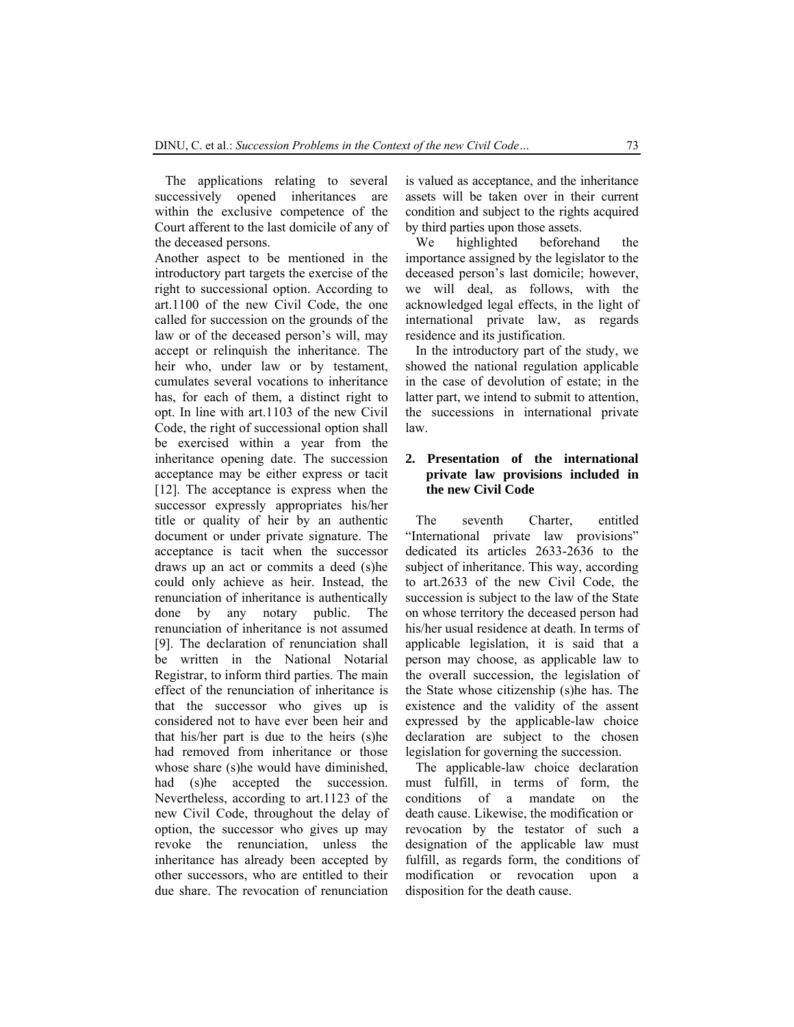The applications relating to several successively opened inheritances are within the exclusive competence of the Court afferent to the last domicile of any of the deceased persons.

Another aspect to be mentioned in the introductory part targets the exercise of the right to successional option. According to art.1100 of the new Civil Code, the one called for succession on the grounds of the law or of the deceased person's will, may accept or relinquish the inheritance. The heir who, under law or by testament. cumulates several vocations to inheritance has, for each of them, a distinct right to opt. In line with art.1103 of the new Civil Code, the right of successional option shall be exercised within a year from the inheritance opening date. The succession acceptance may be either express or tacit [12]. The acceptance is express when the successor expressly appropriates his/her title or quality of heir by an authentic document or under private signature. The acceptance is tacit when the successor draws up an act or commits a deed (s)he could only achieve as heir. Instead, the renunciation of inheritance is authentically done by any notary public. The renunciation of inheritance is not assumed [9]. The declaration of renunciation shall be written in the National Notarial Registrar, to inform third parties. The main effect of the renunciation of inheritance is that the successor who gives up is considered not to have ever been heir and that his/her part is due to the heirs (s)he had removed from inheritance or those whose share (s)he would have diminished, had (s)he accepted the succession. Nevertheless, according to art.1123 of the new Civil Code, throughout the delay of option, the successor who gives up may revoke the renunciation, unless the inheritance has already been accepted by other successors, who are entitled to their due share. The revocation of renunciation is valued as acceptance, and the inheritance assets will be taken over in their current condition and subject to the rights acquired by third parties upon those assets.

We highlighted beforehand the importance assigned by the legislator to the deceased person's last domicile; however, we will deal, as follows, with the acknowledged legal effects, in the light of international private law, as regards residence and its justification.

In the introductory part of the study, we showed the national regulation applicable in the case of devolution of estate; in the latter part, we intend to submit to attention, the successions in international private law.

## **2. Presentation of the international private law provisions included in the new Civil Code**

The seventh Charter, entitled "International private law provisions" dedicated its articles 2633-2636 to the subject of inheritance. This way, according to art.2633 of the new Civil Code, the succession is subject to the law of the State on whose territory the deceased person had his/her usual residence at death. In terms of applicable legislation, it is said that a person may choose, as applicable law to the overall succession, the legislation of the State whose citizenship (s)he has. The existence and the validity of the assent expressed by the applicable-law choice declaration are subject to the chosen legislation for governing the succession.

The applicable-law choice declaration must fulfill, in terms of form, the conditions of a mandate on the death cause. Likewise, the modification or revocation by the testator of such a designation of the applicable law must fulfill, as regards form, the conditions of modification or revocation upon a disposition for the death cause.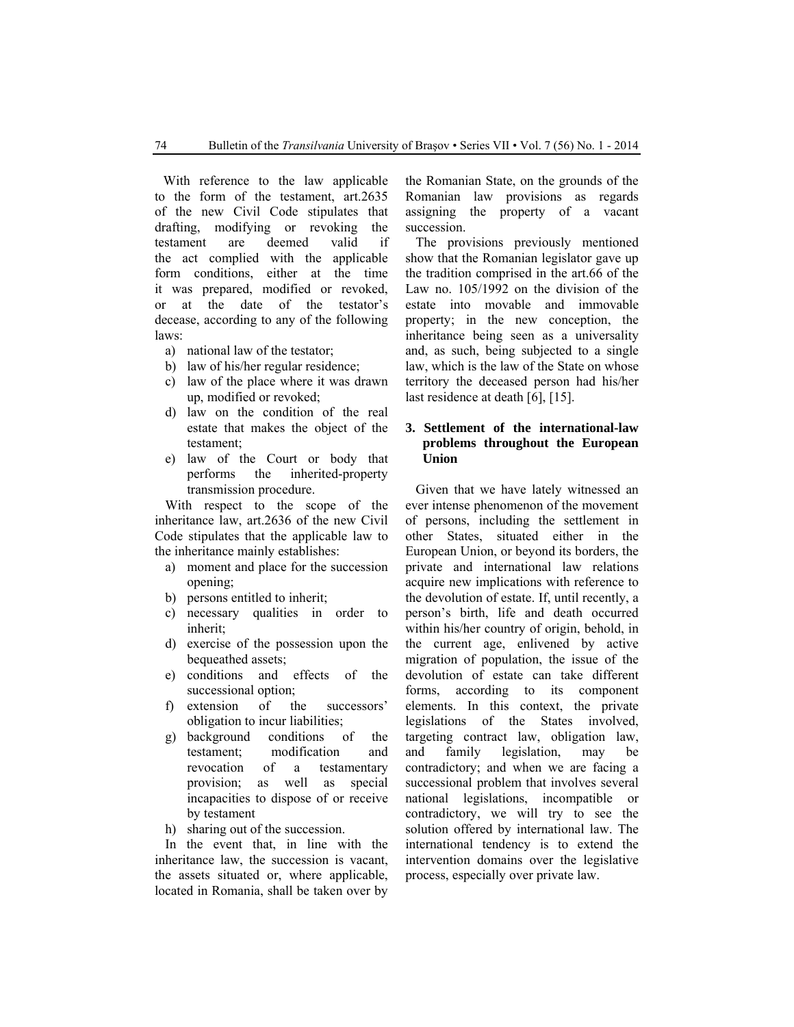With reference to the law applicable to the form of the testament, art.2635 of the new Civil Code stipulates that drafting, modifying or revoking the testament are deemed valid if the act complied with the applicable form conditions, either at the time it was prepared, modified or revoked, or at the date of the testator's decease, according to any of the following laws:

- a) national law of the testator;
- b) law of his/her regular residence;
- c) law of the place where it was drawn up, modified or revoked;
- d) law on the condition of the real estate that makes the object of the testament;
- e) law of the Court or body that performs the inherited-property transmission procedure.

With respect to the scope of the inheritance law, art.2636 of the new Civil Code stipulates that the applicable law to the inheritance mainly establishes:

- a) moment and place for the succession opening;
- b) persons entitled to inherit;
- c) necessary qualities in order to inherit;
- d) exercise of the possession upon the bequeathed assets;
- e) conditions and effects of the successional option;
- f) extension of the successors' obligation to incur liabilities;
- g) background conditions of the testament; modification and revocation of a testamentary provision; as well as special incapacities to dispose of or receive by testament
- h) sharing out of the succession.

In the event that, in line with the inheritance law, the succession is vacant, the assets situated or, where applicable, located in Romania, shall be taken over by

the Romanian State, on the grounds of the Romanian law provisions as regards assigning the property of a vacant succession.

The provisions previously mentioned show that the Romanian legislator gave up the tradition comprised in the art.66 of the Law no. 105/1992 on the division of the estate into movable and immovable property; in the new conception, the inheritance being seen as a universality and, as such, being subjected to a single law, which is the law of the State on whose territory the deceased person had his/her last residence at death [6], [15].

### **3. Settlement of the international-law problems throughout the European Union**

Given that we have lately witnessed an ever intense phenomenon of the movement of persons, including the settlement in other States, situated either in the European Union, or beyond its borders, the private and international law relations acquire new implications with reference to the devolution of estate. If, until recently, a person's birth, life and death occurred within his/her country of origin, behold, in the current age, enlivened by active migration of population, the issue of the devolution of estate can take different forms, according to its component elements. In this context, the private legislations of the States involved, targeting contract law, obligation law, and family legislation, may be contradictory; and when we are facing a successional problem that involves several national legislations, incompatible or contradictory, we will try to see the solution offered by international law. The international tendency is to extend the intervention domains over the legislative process, especially over private law.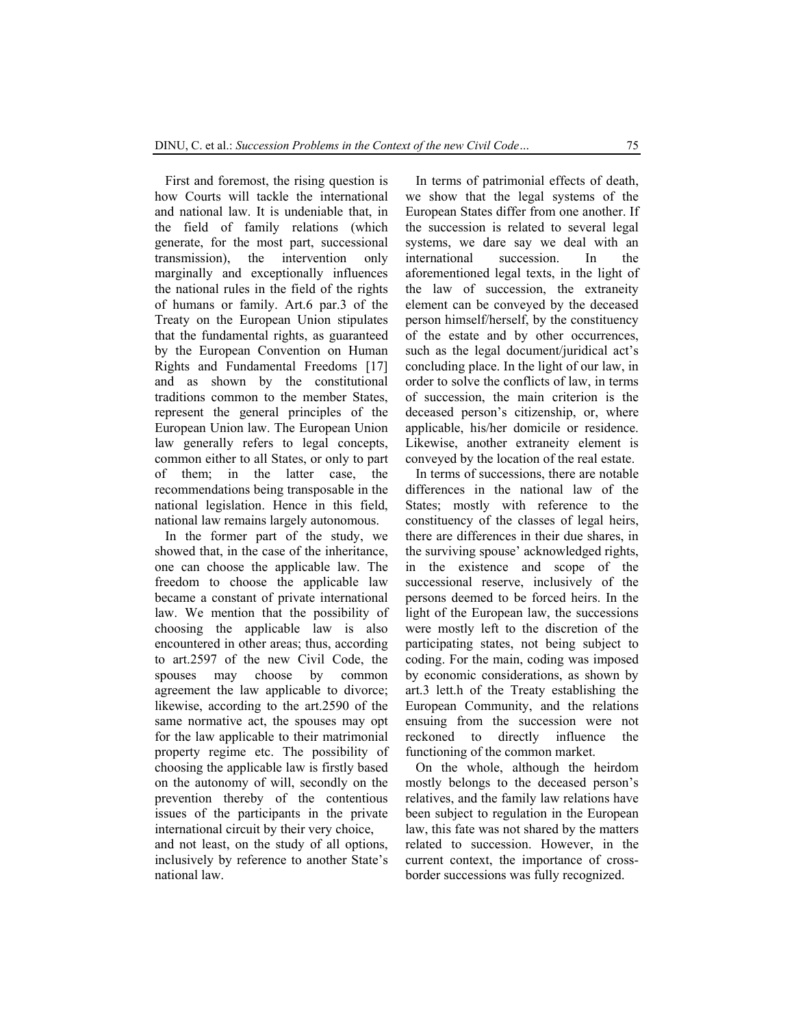First and foremost, the rising question is how Courts will tackle the international and national law. It is undeniable that, in the field of family relations (which generate, for the most part, successional transmission), the intervention only marginally and exceptionally influences the national rules in the field of the rights of humans or family. Art.6 par.3 of the Treaty on the European Union stipulates that the fundamental rights, as guaranteed by the European Convention on Human Rights and Fundamental Freedoms [17] and as shown by the constitutional traditions common to the member States, represent the general principles of the European Union law. The European Union law generally refers to legal concepts, common either to all States, or only to part of them; in the latter case, the recommendations being transposable in the national legislation. Hence in this field, national law remains largely autonomous.

In the former part of the study, we showed that, in the case of the inheritance, one can choose the applicable law. The freedom to choose the applicable law became a constant of private international law. We mention that the possibility of choosing the applicable law is also encountered in other areas; thus, according to art.2597 of the new Civil Code, the spouses may choose by common agreement the law applicable to divorce; likewise, according to the art.2590 of the same normative act, the spouses may opt for the law applicable to their matrimonial property regime etc. The possibility of choosing the applicable law is firstly based on the autonomy of will, secondly on the prevention thereby of the contentious issues of the participants in the private international circuit by their very choice, and not least, on the study of all options, inclusively by reference to another State's national law.

In terms of patrimonial effects of death, we show that the legal systems of the European States differ from one another. If the succession is related to several legal systems, we dare say we deal with an international succession. In the aforementioned legal texts, in the light of the law of succession, the extraneity element can be conveyed by the deceased person himself/herself, by the constituency of the estate and by other occurrences, such as the legal document/juridical act's concluding place. In the light of our law, in order to solve the conflicts of law, in terms of succession, the main criterion is the deceased person's citizenship, or, where applicable, his/her domicile or residence. Likewise, another extraneity element is conveyed by the location of the real estate.

In terms of successions, there are notable differences in the national law of the States; mostly with reference to the constituency of the classes of legal heirs, there are differences in their due shares, in the surviving spouse' acknowledged rights, in the existence and scope of the successional reserve, inclusively of the persons deemed to be forced heirs. In the light of the European law, the successions were mostly left to the discretion of the participating states, not being subject to coding. For the main, coding was imposed by economic considerations, as shown by art.3 lett.h of the Treaty establishing the European Community, and the relations ensuing from the succession were not reckoned to directly influence the functioning of the common market.

On the whole, although the heirdom mostly belongs to the deceased person's relatives, and the family law relations have been subject to regulation in the European law, this fate was not shared by the matters related to succession. However, in the current context, the importance of crossborder successions was fully recognized.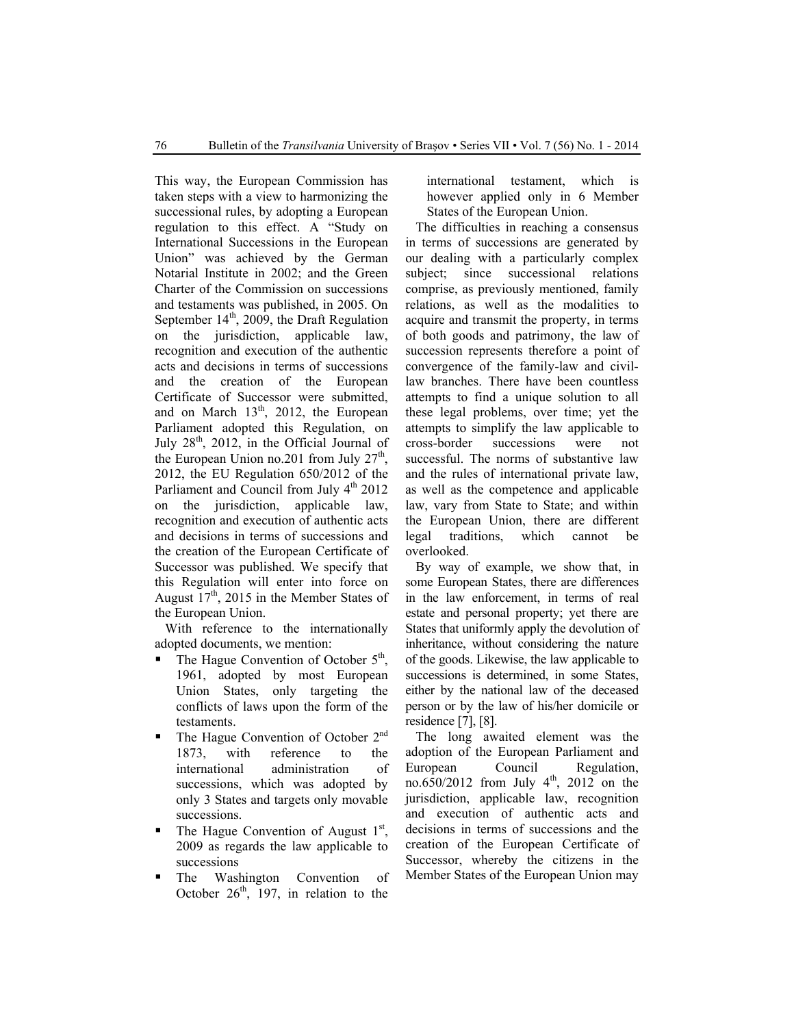This way, the European Commission has taken steps with a view to harmonizing the successional rules, by adopting a European regulation to this effect. A "Study on International Successions in the European Union" was achieved by the German Notarial Institute in 2002; and the Green Charter of the Commission on successions and testaments was published, in 2005. On September  $14<sup>th</sup>$ , 2009, the Draft Regulation on the jurisdiction, applicable law, recognition and execution of the authentic acts and decisions in terms of successions and the creation of the European Certificate of Successor were submitted, and on March  $13<sup>th</sup>$ , 2012, the European Parliament adopted this Regulation, on July  $28<sup>th</sup>$ , 2012, in the Official Journal of the European Union no.201 from July  $27<sup>th</sup>$ , 2012, the EU Regulation 650/2012 of the Parliament and Council from July  $4<sup>th</sup>$  2012 on the jurisdiction, applicable law, recognition and execution of authentic acts and decisions in terms of successions and the creation of the European Certificate of Successor was published. We specify that this Regulation will enter into force on August  $17<sup>th</sup>$ , 2015 in the Member States of the European Union.

With reference to the internationally adopted documents, we mention:

- The Hague Convention of October  $5<sup>th</sup>$ , 1961, adopted by most European Union States, only targeting the conflicts of laws upon the form of the testaments.
- The Hague Convention of October 2<sup>nd</sup> 1873, with reference to the international administration of successions, which was adopted by only 3 States and targets only movable successions.
- $\blacksquare$  The Hague Convention of August 1<sup>st</sup>, 2009 as regards the law applicable to successions
- The Washington Convention of October  $26<sup>th</sup>$ , 197, in relation to the

international testament, which is however applied only in 6 Member States of the European Union.

The difficulties in reaching a consensus in terms of successions are generated by our dealing with a particularly complex subject; since successional relations comprise, as previously mentioned, family relations, as well as the modalities to acquire and transmit the property, in terms of both goods and patrimony, the law of succession represents therefore a point of convergence of the family-law and civillaw branches. There have been countless attempts to find a unique solution to all these legal problems, over time; yet the attempts to simplify the law applicable to cross-border successions were not successful. The norms of substantive law and the rules of international private law, as well as the competence and applicable law, vary from State to State; and within the European Union, there are different legal traditions, which cannot be overlooked.

By way of example, we show that, in some European States, there are differences in the law enforcement, in terms of real estate and personal property; yet there are States that uniformly apply the devolution of inheritance, without considering the nature of the goods. Likewise, the law applicable to successions is determined, in some States, either by the national law of the deceased person or by the law of his/her domicile or residence [7], [8].

The long awaited element was the adoption of the European Parliament and European Council Regulation, no.650/2012 from July  $4^{th}$ , 2012 on the jurisdiction, applicable law, recognition and execution of authentic acts and decisions in terms of successions and the creation of the European Certificate of Successor, whereby the citizens in the Member States of the European Union may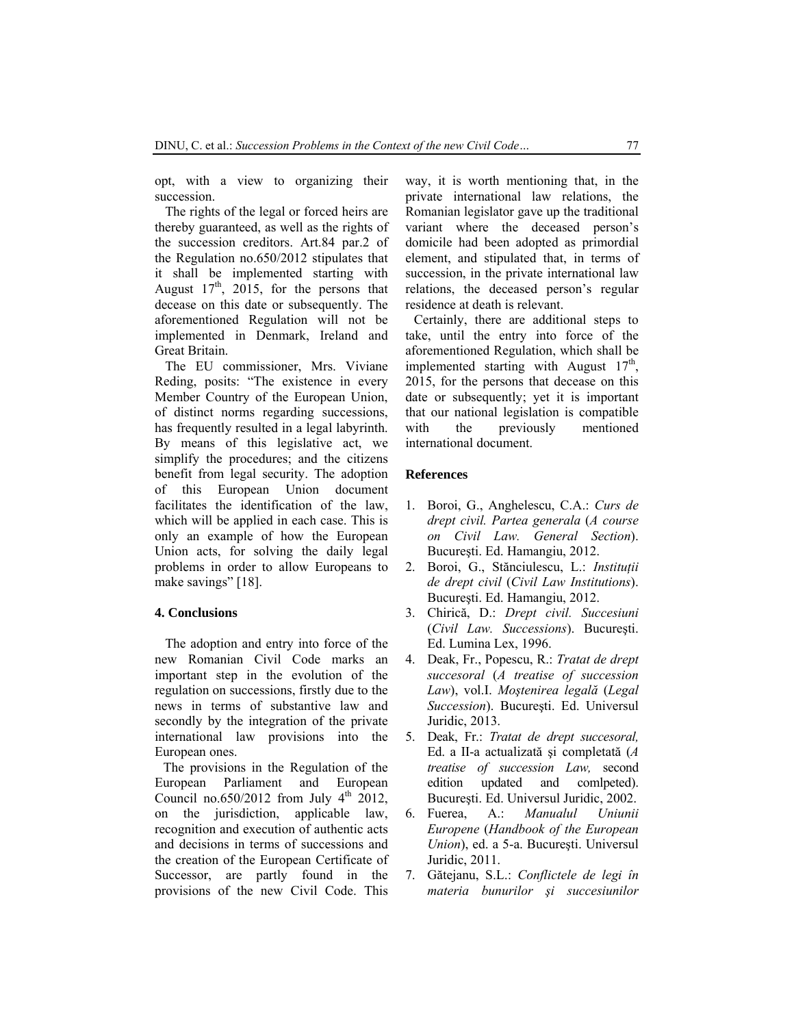opt, with a view to organizing their succession.

The rights of the legal or forced heirs are thereby guaranteed, as well as the rights of the succession creditors. Art.84 par.2 of the Regulation no.650/2012 stipulates that it shall be implemented starting with August  $17<sup>th</sup>$ ,  $2015$ , for the persons that decease on this date or subsequently. The aforementioned Regulation will not be implemented in Denmark, Ireland and Great Britain.

The EU commissioner, Mrs. Viviane Reding, posits: "The existence in every Member Country of the European Union, of distinct norms regarding successions, has frequently resulted in a legal labyrinth. By means of this legislative act, we simplify the procedures; and the citizens benefit from legal security. The adoption of this European Union document facilitates the identification of the law, which will be applied in each case. This is only an example of how the European Union acts, for solving the daily legal problems in order to allow Europeans to make savings" [18].

#### **4. Conclusions**

The adoption and entry into force of the new Romanian Civil Code marks an important step in the evolution of the regulation on successions, firstly due to the news in terms of substantive law and secondly by the integration of the private international law provisions into the European ones.

The provisions in the Regulation of the European Parliament and European Council no.650/2012 from July  $4<sup>th</sup>$  2012, on the jurisdiction, applicable law, recognition and execution of authentic acts and decisions in terms of successions and the creation of the European Certificate of Successor, are partly found in the provisions of the new Civil Code. This way, it is worth mentioning that, in the private international law relations, the Romanian legislator gave up the traditional variant where the deceased person's domicile had been adopted as primordial element, and stipulated that, in terms of succession, in the private international law relations, the deceased person's regular residence at death is relevant.

Certainly, there are additional steps to take, until the entry into force of the aforementioned Regulation, which shall be implemented starting with August  $17<sup>th</sup>$ . 2015, for the persons that decease on this date or subsequently; yet it is important that our national legislation is compatible with the previously mentioned international document.

#### **References**

- 1. Boroi, G., Anghelescu, C.A.: *Curs de drept civil. Partea generala* (*A course on Civil Law. General Section*). Bucureşti. Ed. Hamangiu, 2012.
- 2. Boroi, G., Stănciulescu, L.: *Instituţii de drept civil* (*Civil Law Institutions*). Bucureşti. Ed. Hamangiu, 2012.
- 3. Chirică, D.: *Drept civil. Succesiuni* (*Civil Law. Successions*). Bucureşti. Ed. Lumina Lex, 1996.
- 4. Deak, Fr., Popescu, R.: *Tratat de drept succesoral* (*A treatise of succession Law*), vol.I. *Moştenirea legală* (*Legal Succession*). Bucureşti. Ed. Universul Juridic, 2013.
- 5. Deak, Fr.: *Tratat de drept succesoral,*  Ed. a II-a actualizată şi completată (*A treatise of succession Law,* second edition updated and comlpeted). Bucureşti. Ed. Universul Juridic, 2002.
- 6. Fuerea, A.: *Manualul Uniunii Europene* (*Handbook of the European Union*), ed. a 5-a. Bucureşti. Universul Juridic, 2011.
- 7. Gătejanu, S.L.: *Conflictele de legi în materia bunurilor şi succesiunilor*